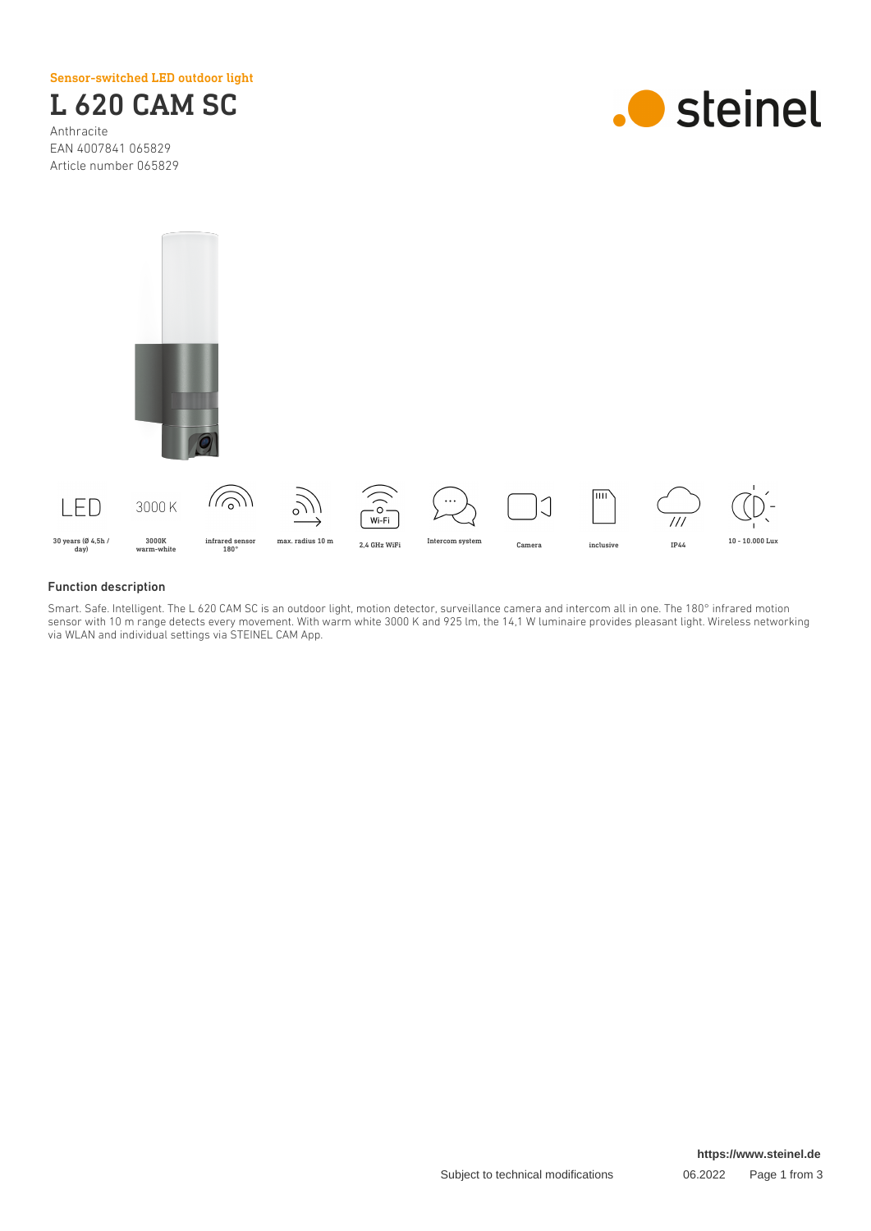Sensor-switched LED outdoor light



Anthracite EAN 4007841 065829 Article number 065829





### Function description

Smart. Safe. Intelligent. The L 620 CAM SC is an outdoor light, motion detector, surveillance camera and intercom all in one. The 180° infrared motion sensor with 10 m range detects every movement. With warm white 3000 K and 925 lm, the 14,1 W luminaire provides pleasant light. Wireless networking via WLAN and individual settings via STEINEL CAM App.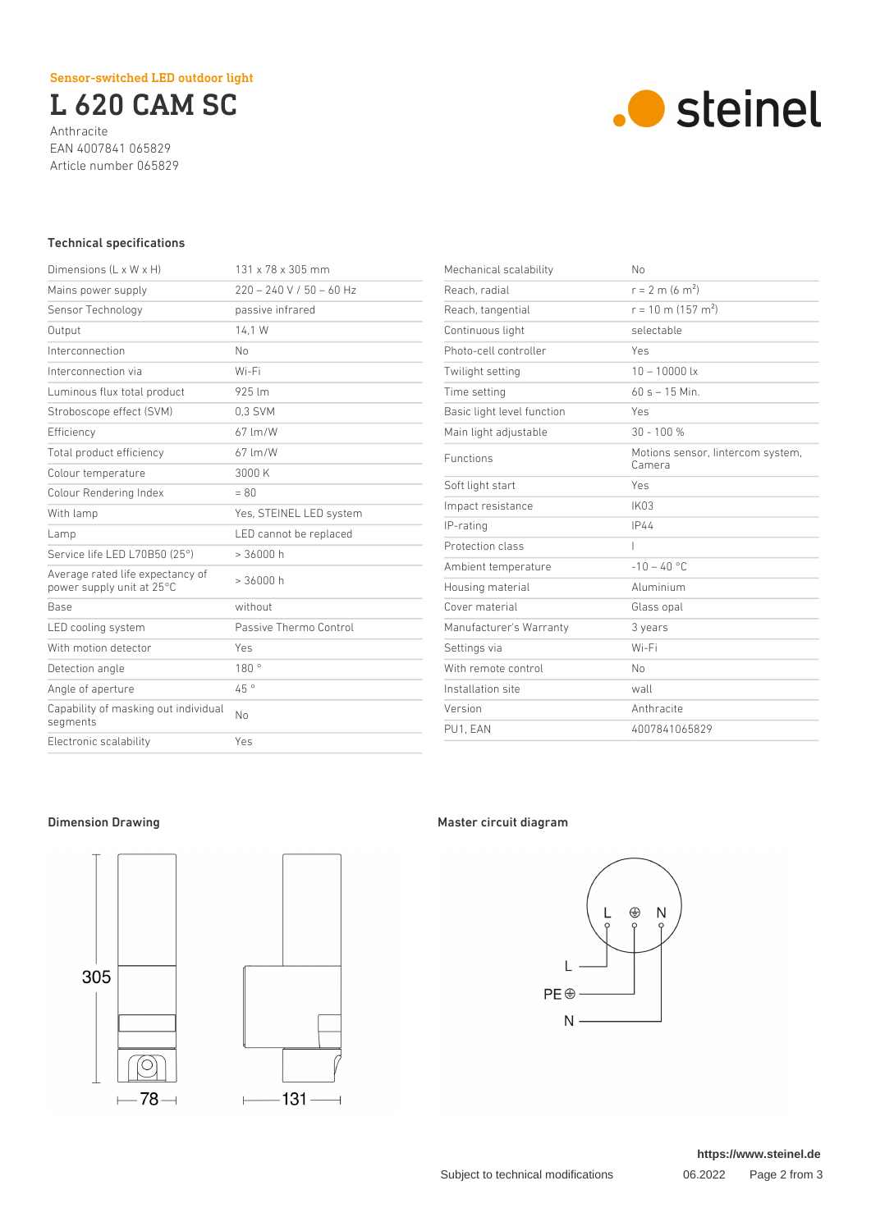L 620 CAM SC

Anthracite EAN 4007841 065829 Article number 065829



## Technical specifications

| Dimensions $(L \times W \times H)$                            | 131 x 78 x 305 mm          |
|---------------------------------------------------------------|----------------------------|
| Mains power supply                                            | $220 - 240 V / 50 - 60 Hz$ |
| Sensor Technology                                             | passive infrared           |
| Output                                                        | 14.1 W                     |
| Interconnection                                               | No                         |
| Interconnection via                                           | Wi-Fi                      |
| Luminous flux total product                                   | 925 lm                     |
| Stroboscope effect (SVM)                                      | 0.3 SVM                    |
| Efficiency                                                    | 67 lm/W                    |
| Total product efficiency                                      | $67 \, \mathrm{Im/W}$      |
| Colour temperature                                            | 3000 K                     |
| Colour Rendering Index                                        | $= 80$                     |
| With lamp                                                     | Yes, STEINEL LED system    |
| Lamp                                                          | LED cannot be replaced     |
| Service life LED L70B50 (25°)                                 | > 36000 h                  |
| Average rated life expectancy of<br>power supply unit at 25°C | > 36000 h                  |
| <b>Base</b>                                                   | without                    |
| LED cooling system                                            | Passive Thermo Control     |
| With motion detector                                          | Yes                        |
| Detection angle                                               | 180°                       |
| Angle of aperture                                             | 45 °                       |
| Capability of masking out individual<br>segments              | Nο                         |
| Electronic scalability                                        | Yes                        |

| Mechanical scalability     | No                                          |
|----------------------------|---------------------------------------------|
| Reach, radial              | $r = 2$ m (6 m <sup>2</sup> )               |
| Reach, tangential          | $r = 10$ m (157 m <sup>2</sup> )            |
| Continuous light           | selectable                                  |
| Photo-cell controller      | Yes                                         |
| Twilight setting           | $10 - 10000$ lx                             |
| Time setting               | $60 s - 15$ Min.                            |
| Basic light level function | Yes                                         |
| Main light adjustable      | $30 - 100 %$                                |
| <b>Functions</b>           | Motions sensor, lintercom system,<br>Camera |
| Soft light start           | Yes                                         |
| Impact resistance          | <b>IK03</b>                                 |
| IP-rating                  | IP44                                        |
| Protection class           | $\overline{\phantom{a}}$                    |
| Ambient temperature        | $-10 - 40$ °C                               |
| Housing material           | Aluminium                                   |
| Cover material             | Glass opal                                  |
| Manufacturer's Warranty    | 3 years                                     |
| Settings via               | Wi-Fi                                       |
| With remote control        | No                                          |
| Installation site          | wall                                        |
| Version                    | Anthracite                                  |
| PU1, EAN                   | 4007841065829                               |



# Dimension Drawing **Master circuit diagram**